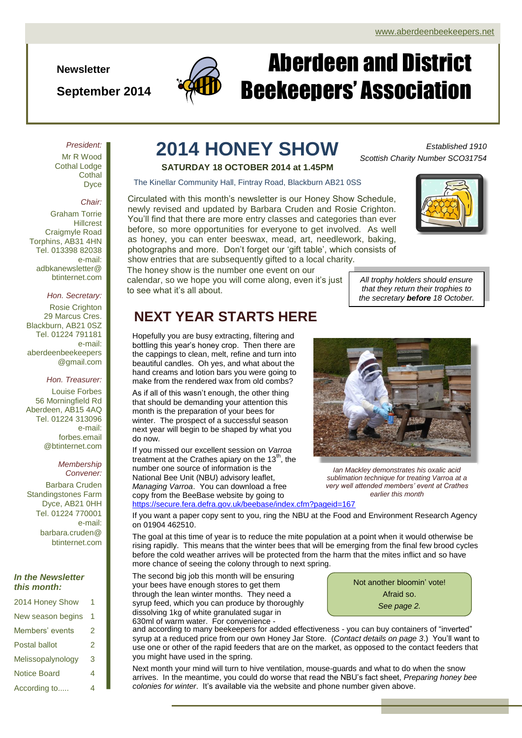**Newsletter**

**September 2014**



# Aberdeen and District Beekeepers' Association

*President:* Mr R Wood Cothal Lodge **Cothal** Dyce

#### *Chair:*

Graham Torrie **Hillcrest** Craigmyle Road Torphins, AB31 4HN Tel. 013398 82038 e-mail: adbkanewsletter@ btinternet.com

#### *Hon. Secretary:*

Rosie Crighton 29 Marcus Cres. Blackburn, AB21 0SZ Tel. 01224 791181 e-mail: aberdeenbeekeepers @gmail.com

#### *Hon. Treasurer:*

Louise Forbes 56 Morningfield Rd Aberdeen, AB15 4AQ Tel. 01224 313096 e-mail: forbes.email @btinternet.com

#### *Membership Convener:*

Barbara Cruden Standingstones Farm Dyce, AB21 0HH Tel. 01224 770001 e-mail: barbara.cruden@ btinternet.com

### *In the Newsletter this month:*

| 2014 Honey Show      |   |
|----------------------|---|
| New season begins    | 1 |
| Members' events      | 2 |
| <b>Postal ballot</b> | 2 |
| Melissopalynology    | 3 |
| <b>Notice Board</b>  | 4 |
| According to         | 4 |

## *Scottish Charity Number SCO31754* **2014 HONEY SHOW**

**SATURDAY 18 OCTOBER 2014 at 1.45PM**

The Kinellar Community Hall, Fintray Road, Blackburn AB21 0SS

Circulated with this month's newsletter is our Honey Show Schedule, newly revised and updated by Barbara Cruden and Rosie Crighton. You'll find that there are more entry classes and categories than ever before, so more opportunities for everyone to get involved. As well as honey, you can enter beeswax, mead, art, needlework, baking, photographs and more. Don't forget our 'gift table', which consists of show entries that are subsequently gifted to a local charity.

The honey show is the number one event on our calendar, so we hope you will come along, even it's just

**NEXT YEAR STARTS HERE**

to see what it's all about.



*Ian Mackley demonstrates his oxalic acid sublimation technique for treating Varroa at a very well attended members' event at Crathes earlier this month*

Hopefully you are busy extracting, filtering and bottling this year's honey crop. Then there are the cappings to clean, melt, refine and turn into beautiful candles. Oh yes, and what about the hand creams and lotion bars you were going to make from the rendered wax from old combs?

As if all of this wasn't enough, the other thing that should be demanding your attention this month is the preparation of your bees for winter. The prospect of a successful season next year will begin to be shaped by what you do now.

If you missed our excellent session on *Varroa* treatment at the Crathes apiary on the  $13<sup>th</sup>$ , the number one source of information is the National Bee Unit (NBU) advisory leaflet, *Managing Varroa*. You can download a free copy from the BeeBase website by going to <https://secure.fera.defra.gov.uk/beebase/index.cfm?pageid=167>

If you want a paper copy sent to you, ring the NBU at the Food and Environment Research Agency on 01904 462510.

The goal at this time of year is to reduce the mite population at a point when it would otherwise be rising rapidly. This means that the winter bees that will be emerging from the final few brood cycles before the cold weather arrives will be protected from the harm that the mites inflict and so have more chance of seeing the colony through to next spring.

The second big job this month will be ensuring your bees have enough stores to get them through the lean winter months. They need a syrup feed, which you can produce by thoroughly dissolving 1kg of white granulated sugar in 630ml of warm water. For convenience -

and according to many beekeepers for added effectiveness - you can buy containers of "inverted" syrup at a reduced price from our own Honey Jar Store. (*Contact details on page 3*.) You'll want to use one or other of the rapid feeders that are on the market, as opposed to the contact feeders that you might have used in the spring.

Next month your mind will turn to hive ventilation, mouse-guards and what to do when the snow arrives. In the meantime, you could do worse that read the NBU's fact sheet, *Preparing honey bee colonies for winter*. It's available via the website and phone number given above.

Not another bloomin' vote! Afraid so. *See page 2.*



*Established 1910*

*All trophy holders should ensure that they return their trophies to the secretary before 18 October.*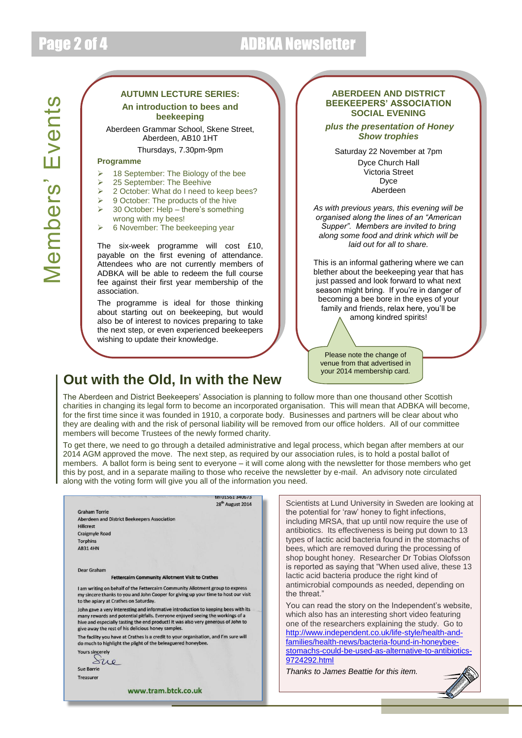### Page 2 of 4 ADBKA Newsletter

### **AUTUMN LECTURE SERIES: An introduction to bees and**

**beekeeping**

Aberdeen Grammar School, Skene Street, Aberdeen, AB10 1HT Thursdays, 7.30pm-9pm

#### **Programme**

- 18 September: The Biology of the bee
- 25 September: The Beehive
- 2 October: What do I need to keep bees?
- 9 October: The products of the hive 30 October: Help – there's something
- wrong with my bees!
- 6 November: The beekeeping year

The six-week programme will cost £10, payable on the first evening of attendance. Attendees who are not currently members of ADBKA will be able to redeem the full course fee against their first year membership of the association.

The programme is ideal for those thinking about starting out on beekeeping, but would also be of interest to novices preparing to take the next step, or even experienced beekeepers wishing to update their knowledge.

#### **ABERDEEN AND DISTRICT BEEKEEPERS' ASSOCIATION SOCIAL EVENING**

*plus the presentation of Honey Show trophies*

Saturday 22 November at 7pm Dyce Church Hall Victoria Street Dyce Aberdeen

*As with previous years, this evening will be organised along the lines of an "American Supper". Members are invited to bring along some food and drink which will be laid out for all to share.*

This is an informal gathering where we can blether about the beekeeping year that has just passed and look forward to what next season might bring. If you're in danger of becoming a bee bore in the eyes of your family and friends, relax here, you'll be among kindred spirits!

Please note the change of venue from that advertised in your 2014 membership card.

### **Out with the Old, In with the New**

The Aberdeen and District Beekeepers' Association is planning to follow more than one thousand other Scottish charities in changing its legal form to become an incorporated organisation. This will mean that ADBKA will become, for the first time since it was founded in 1910, a corporate body. Businesses and partners will be clear about who they are dealing with and the risk of personal liability will be removed from our office holders. All of our committee members will become Trustees of the newly formed charity.

To get there, we need to go through a detailed administrative and legal process, which began after members at our 2014 AGM approved the move. The next step, as required by our association rules, is to hold a postal ballot of members. A ballot form is being sent to everyone – it will come along with the newsletter for those members who get this by post, and in a separate mailing to those who receive the newsletter by e-mail. An advisory note circulated along with the voting form will give you all of the information you need.

|                                                    | <b>ERIULSDI 3400/3</b><br>28 <sup>th</sup> August 2014                                                                                                                                                                                                    |
|----------------------------------------------------|-----------------------------------------------------------------------------------------------------------------------------------------------------------------------------------------------------------------------------------------------------------|
|                                                    |                                                                                                                                                                                                                                                           |
| <b>Graham Torrie</b>                               |                                                                                                                                                                                                                                                           |
| Aberdeen and District Beekeepers Association       |                                                                                                                                                                                                                                                           |
| <b>Hillcrest</b>                                   |                                                                                                                                                                                                                                                           |
| <b>Craigmyle Road</b>                              |                                                                                                                                                                                                                                                           |
| <b>Torphins</b>                                    |                                                                                                                                                                                                                                                           |
| <b>AB31 4HN</b>                                    |                                                                                                                                                                                                                                                           |
| Dear Graham                                        |                                                                                                                                                                                                                                                           |
|                                                    | <b>Fettercairn Community Allotment Visit to Crathes</b>                                                                                                                                                                                                   |
| to the apiary at Crathes on Saturday.              | I am writing on behalf of the Fettercairn Community Allotment group to express<br>my sincere thanks to you and John Cooper for giving up your time to host our visit                                                                                      |
| give away the rest of his delicious honey samples. | John gave a very interesting and informative introduction to keeping bees with its<br>many rewards and potential pitfalls. Everyone enjoyed seeing the workings of a<br>hive and especially tasting the end product! It was also very generous of John to |
|                                                    | The facility you have at Crathes is a credit to your organisation, and I'm sure will<br>do much to highlight the plight of the beleaguered honeybee.                                                                                                      |
| <b>Yours sincerely</b>                             |                                                                                                                                                                                                                                                           |
| <b>Sue Barrie</b>                                  |                                                                                                                                                                                                                                                           |
| <b>Treasurer</b>                                   |                                                                                                                                                                                                                                                           |
|                                                    | www.tram.btck.co.uk                                                                                                                                                                                                                                       |

Scientists at Lund University in Sweden are looking at the potential for 'raw' honey to fight infections, including MRSA, that up until now require the use of antibiotics. Its effectiveness is being put down to 13 types of lactic acid bacteria found in the stomachs of bees, which are removed during the processing of shop bought honey. Researcher Dr Tobias Olofsson is reported as saying that "When used alive, these 13 lactic acid bacteria produce the right kind of antimicrobial compounds as needed, depending on the threat."

You can read the story on the Independent's website, which also has an interesting short video featuring one of the researchers explaining the study. Go to [http://www.independent.co.uk/life-style/health-and](http://www.independent.co.uk/life-style/health-and-families/health-news/bacteria-found-in-honeybee-stomachs-could-be-used-as-alternative-to-antibiotics-9724292.html)[families/health-news/bacteria-found-in-honeybee](http://www.independent.co.uk/life-style/health-and-families/health-news/bacteria-found-in-honeybee-stomachs-could-be-used-as-alternative-to-antibiotics-9724292.html)[stomachs-could-be-used-as-alternative-to-antibiotics-](http://www.independent.co.uk/life-style/health-and-families/health-news/bacteria-found-in-honeybee-stomachs-could-be-used-as-alternative-to-antibiotics-9724292.html)[9724292.html](http://www.independent.co.uk/life-style/health-and-families/health-news/bacteria-found-in-honeybee-stomachs-could-be-used-as-alternative-to-antibiotics-9724292.html)

*Thanks to James Beattie for this item.*

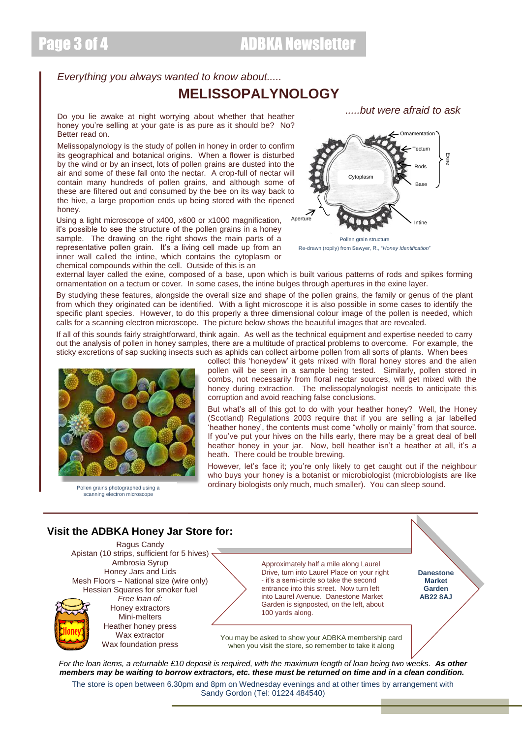### *Everything you always wanted to know about.....* **MELISSOPALYNOLOGY**

Do you lie awake at night worrying about whether that heather honey you're selling at your gate is as pure as it should be? No? Better read on.

Melissopalynology is the study of pollen in honey in order to confirm its geographical and botanical origins. When a flower is disturbed by the wind or by an insect, lots of pollen grains are dusted into the air and some of these fall onto the nectar. A crop-full of nectar will contain many hundreds of pollen grains, and although some of these are filtered out and consumed by the bee on its way back to the hive, a large proportion ends up being stored with the ripened honey.

it's possible to see the structure of the pollen grains in a honey sample. The drawing on the right shows the main parts of a representative pollen grain. It's a living cell made up from an inner wall called the intine, which contains the cytoplasm or chemical compounds within the cell. Outside of this is an

*.....but were afraid to ask*



Pollen grain structure Re-drawn (ropily) from Sawyer, R., "*Honey Identification*"

external layer called the exine, composed of a base, upon which is built various patterns of rods and spikes forming ornamentation on a tectum or cover. In some cases, the intine bulges through apertures in the exine layer.

By studying these features, alongside the overall size and shape of the pollen grains, the family or genus of the plant from which they originated can be identified. With a light microscope it is also possible in some cases to identify the specific plant species. However, to do this properly a three dimensional colour image of the pollen is needed, which calls for a scanning electron microscope. The picture below shows the beautiful images that are revealed.

If all of this sounds fairly straightforward, think again. As well as the technical equipment and expertise needed to carry out the analysis of pollen in honey samples, there are a multitude of practical problems to overcome. For example, the sticky excretions of sap sucking insects such as aphids can collect airborne pollen from all sorts of plants. When bees



Pollen grains photographed using a scanning electron microscope

collect this 'honeydew' it gets mixed with floral honey stores and the alien pollen will be seen in a sample being tested. Similarly, pollen stored in combs, not necessarily from floral nectar sources, will get mixed with the honey during extraction. The melissopalynologist needs to anticipate this corruption and avoid reaching false conclusions.

But what's all of this got to do with your heather honey? Well, the Honey (Scotland) Regulations 2003 require that if you are selling a jar labelled 'heather honey', the contents must come "wholly or mainly" from that source. If you've put your hives on the hills early, there may be a great deal of bell heather honey in your jar. Now, bell heather isn't a heather at all, it's a heath. There could be trouble brewing.

However, let's face it; you're only likely to get caught out if the neighbour who buys your honey is a botanist or microbiologist (microbiologists are like ordinary biologists only much, much smaller). You can sleep sound.

#### *For the loan items, a returnable £10 deposit is required, with the maximum length of loan being two weeks. As other members may be waiting to borrow extractors, etc. these must be returned on time and in a clean condition.* **Visit the ADBKA Honey Jar Store for:** Ragus Candy Apistan (10 strips, sufficient for 5 hives) < Ambrosia Syrup Honey Jars and Lids Mesh Floors – National size (wire only) Hessian Squares for smoker fuel *Free loan of:* Honey extractors Mini-melters Heather honey press Wax extractor Wax foundation press Approximately half a mile along Laurel Drive, turn into Laurel Place on your right - it's a semi-circle so take the second entrance into this street. Now turn left into Laurel Avenue. Danestone Market Garden is signposted, on the left, about 100 yards along. **Danestone Market Garden AB22 8AJ** You may be asked to show your ADBKA membership card when you visit the store, so remember to take it along

The store is open between 6.30pm and 8pm on Wednesday evenings and at other times by arrangement with Sandy Gordon (Tel: 01224 484540)